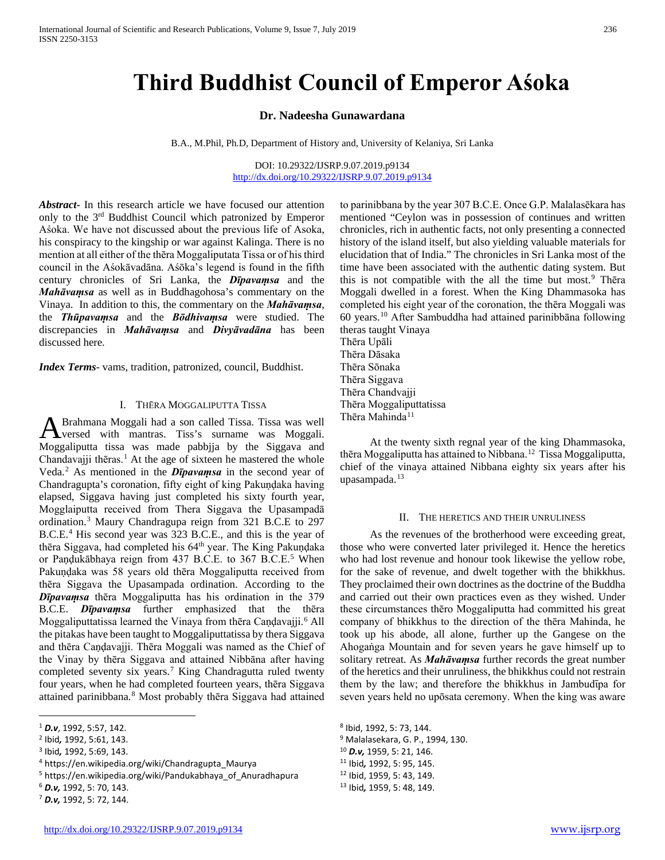# **Third Buddhist Council of Emperor Aśoka**

## **Dr. Nadeesha Gunawardana**

B.A., M.Phil, Ph.D, Department of History and, University of Kelaniya, Sri Lanka

DOI: 10.29322/IJSRP.9.07.2019.p9134 <http://dx.doi.org/10.29322/IJSRP.9.07.2019.p9134>

*Abstract***-** In this research article we have focused our attention only to the 3rd Buddhist Council which patronized by Emperor Aśoka. We have not discussed about the previous life of Asoka, his conspiracy to the kingship or war against Kalinga. There is no mention at all either of the thēra Moggaliputata Tissa or of his third council in the Aśokāvadāna. Aśōka's legend is found in the fifth century chronicles of Sri Lanka, the **Dīpavamsa** and the *Mahāvaṃsa* as well as in Buddhagohosa's commentary on the Vinaya. In addition to this, the commentary on the *Mahāvaṃsa*, the *Thūpavaṃsa* and the *Bōdhivaṃsa* were studied. The discrepancies in *Mahāvaṃsa* and *Divyāvadāna* has been discussed here.

*Index Terms*- vams, tradition, patronized, council, Buddhist.

## I. THĒRA MOGGALIPUTTA TISSA

Brahmana Moggali had a son called Tissa. Tissa was well A Brahmana Moggali had a son called Tissa. Tissa was well<br>
Versed with mantras. Tiss's surname was Moggali. Moggaliputta tissa was made pabbjja by the Siggava and Chandavajji thēras.<sup>[1](#page-0-0)</sup> At the age of sixteen he mastered the whole Veda.[2](#page-0-1) As mentioned in the *Dīpavaṃsa* in the second year of Chandragupta's coronation, fifty eight of king Pakuṇḍaka having elapsed, Siggava having just completed his sixty fourth year, Mogglaiputta received from Thera Siggava the Upasampadā ordination.[3](#page-0-2) Maury Chandragupa reign from 321 B.C.E to 297 B.C.E.[4](#page-0-3) His second year was 323 B.C.E., and this is the year of thēra Siggava, had completed his 64<sup>th</sup> year. The King Pakundaka or Pandukābhaya reign from 437 B.C.E. to 367 B.C.E.<sup>[5](#page-0-4)</sup> When Pakuṇḍaka was 58 years old thēra Moggaliputta received from thēra Siggava the Upasampada ordination. According to the *Dīpavaṃsa* thēra Moggaliputta has his ordination in the 379 B.C.E. *Dīpavaṃsa* further emphasized that the thēra Moggaliputtatissa learned the Vinaya from thēra Candavajji.<sup>[6](#page-0-5)</sup> All the pitakas have been taught to Moggaliputtatissa by thera Siggava and thēra Caṇḍavajji. Thēra Moggali was named as the Chief of the Vinay by thēra Siggava and attained Nibbāna after having completed seventy six years.<sup>[7](#page-0-6)</sup> King Chandragutta ruled twenty four years, when he had completed fourteen years, thēra Siggava attained parinibbana.<sup>[8](#page-0-0)</sup> Most probably thēra Siggava had attained

 $\overline{a}$ 

<span id="page-0-6"></span><sup>7</sup> *D.v,* 1992, 5: 72, 144.

to parinibbana by the year 307 B.C.E. Once G.P. Malalasēkara has mentioned "Ceylon was in possession of continues and written chronicles, rich in authentic facts, not only presenting a connected history of the island itself, but also yielding valuable materials for elucidation that of India." The chronicles in Sri Lanka most of the time have been associated with the authentic dating system. But this is not compatible with the all the time but most.<sup>[9](#page-0-1)</sup> Thera Moggali dwelled in a forest. When the King Dhammasoka has completed his eight year of the coronation, the thēra Moggali was 60 years.[10](#page-0-2) After Sambuddha had attained parinibbāna following theras taught Vinaya

Thēra Upāli Thēra Dāsaka Thēra Sōnaka Thēra Siggava Thēra Chandvajji Thēra Moggaliputtatissa Thēra Mahinda<sup>[11](#page-0-3)</sup>

 At the twenty sixth regnal year of the king Dhammasoka, thēra Moggaliputta has attained to Nibbana.[12](#page-0-4) Tissa Moggaliputta, chief of the vinaya attained Nibbana eighty six years after his upasampada.[13](#page-0-5)

#### II. THE HERETICS AND THEIR UNRULINESS

 As the revenues of the brotherhood were exceeding great, those who were converted later privileged it. Hence the heretics who had lost revenue and honour took likewise the yellow robe, for the sake of revenue, and dwelt together with the bhikkhus. They proclaimed their own doctrines as the doctrine of the Buddha and carried out their own practices even as they wished. Under these circumstances thēro Moggaliputta had committed his great company of bhikkhus to the direction of the thēra Mahinda, he took up his abode, all alone, further up the Gangese on the Ahogaṅga Mountain and for seven years he gave himself up to solitary retreat. As *Mahāvaṃsa* further records the great number of the heretics and their unruliness, the bhikkhus could not restrain them by the law; and therefore the bhikkhus in Jambudīpa for seven years held no upōsata ceremony. When the king was aware

- <sup>9</sup> Malalasekara, G. P., 1994, 130.
- <sup>10</sup> *D.v,* 1959, 5: 21, 146.
- <sup>11</sup> Ibid*,* 1992, 5: 95, 145.
- <sup>12</sup> Ibid, 1959, 5: 43, 149.

<span id="page-0-0"></span><sup>1</sup> *D.v*, 1992, 5:57, 142.

<span id="page-0-1"></span><sup>2</sup> Ibid*,* 1992, 5:61, 143.

<span id="page-0-2"></span><sup>3</sup> Ibid*,* 1992, 5:69, 143.

<span id="page-0-3"></span><sup>4</sup> https://en.wikipedia.org/wiki/Chandragupta\_Maurya

<span id="page-0-4"></span><sup>&</sup>lt;sup>5</sup> https://en.wikipedia.org/wiki/Pandukabhaya\_of\_Anuradhapura

<span id="page-0-5"></span><sup>6</sup> *D.v,* 1992, 5: 70, 143.

<sup>8</sup> Ibid, 1992, 5: 73, 144.

<sup>13</sup> Ibid*,* 1959, 5: 48, 149.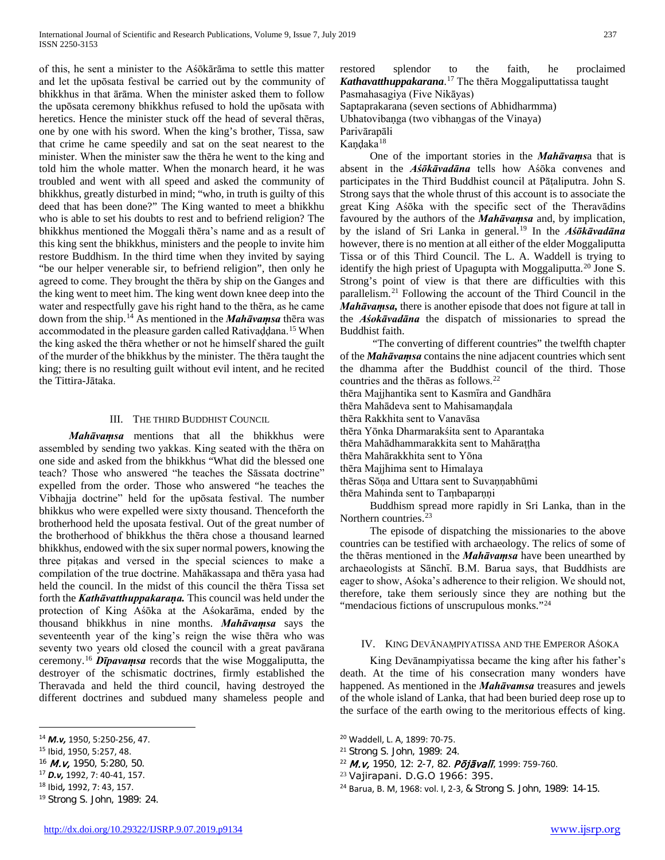of this, he sent a minister to the Aśōkārāma to settle this matter and let the upōsata festival be carried out by the community of bhikkhus in that ārāma. When the minister asked them to follow the upōsata ceremony bhikkhus refused to hold the upōsata with heretics. Hence the minister stuck off the head of several thēras, one by one with his sword. When the king's brother, Tissa, saw that crime he came speedily and sat on the seat nearest to the minister. When the minister saw the thēra he went to the king and told him the whole matter. When the monarch heard, it he was troubled and went with all speed and asked the community of bhikkhus, greatly disturbed in mind; "who, in truth is guilty of this deed that has been done?" The King wanted to meet a bhikkhu who is able to set his doubts to rest and to befriend religion? The bhikkhus mentioned the Moggali thēra's name and as a result of this king sent the bhikkhus, ministers and the people to invite him restore Buddhism. In the third time when they invited by saying "be our helper venerable sir, to befriend religion", then only he agreed to come. They brought the thēra by ship on the Ganges and the king went to meet him. The king went down knee deep into the water and respectfully gave his right hand to the thēra, as he came down from the ship.[14](#page-1-0) As mentioned in the *Mahāvaṃsa* thēra was accommodated in the pleasure garden called Rativaḍḍana.<sup>[15](#page-1-1)</sup> When the king asked the thēra whether or not he himself shared the guilt of the murder of the bhikkhus by the minister. The thēra taught the king; there is no resulting guilt without evil intent, and he recited the Tittira-Jātaka.

## III. THE THIRD BUDDHIST COUNCIL

 *Mahāvaṃsa* mentions that all the bhikkhus were assembled by sending two yakkas. King seated with the thēra on one side and asked from the bhikkhus "What did the blessed one teach? Those who answered "he teaches the Sāssata doctrine" expelled from the order. Those who answered "he teaches the Vibhajja doctrine" held for the upōsata festival. The number bhikkus who were expelled were sixty thousand. Thenceforth the brotherhood held the uposata festival. Out of the great number of the brotherhood of bhikkhus the thēra chose a thousand learned bhikkhus, endowed with the six super normal powers, knowing the three piṭakas and versed in the special sciences to make a compilation of the true doctrine. Mahākassapa and thēra yasa had held the council. In the midst of this council the thēra Tissa set forth the *Kathāvatthuppakaraṇa.* This council was held under the protection of King Aśōka at the Aśokarāma, ended by the thousand bhikkhus in nine months. *Mahāvaṃsa* says the seventeenth year of the king's reign the wise thēra who was seventy two years old closed the council with a great pavārana ceremony.[16](#page-1-2) *Dīpavaṃsa* records that the wise Moggaliputta, the destroyer of the schismatic doctrines, firmly established the Theravada and held the third council, having destroyed the different doctrines and subdued many shameless people and

 $\overline{a}$ 

<span id="page-1-6"></span><span id="page-1-3"></span><sup>17</sup> *D.v,* 1992, 7: 40-41, 157.

restored splendor to the faith, he proclaimed *Kathavatthuppakarana*. [17](#page-1-3) The thēra Moggaliputtatissa taught Pasmahasagiya (Five Nikāyas)

Saptaprakarana (seven sections of Abhidharmma)

Ubhatovibaṇga (two vibhaṇgas of the Vinaya)

Parivārapāli

Kandaka<sup>[18](#page-1-4)</sup>

 One of the important stories in the *Mahāvaṃs*a that is absent in the *Aśōkāvadāna* tells how Aśōka convenes and participates in the Third Buddhist council at Pāṭaliputra. John S. Strong says that the whole thrust of this account is to associate the great King Aśōka with the specific sect of the Theravādins favoured by the authors of the *Mahāvaṃsa* and, by implication, by the island of Sri Lanka in general.[19](#page-1-5) In the *Aśōkāvadāna* however, there is no mention at all either of the elder Moggaliputta Tissa or of this Third Council. The L. A. Waddell is trying to identify the high priest of Upagupta with Moggaliputta.<sup>[20](#page-1-0)</sup> Jone S. Strong's point of view is that there are difficulties with this parallelism.[21](#page-1-1) Following the account of the Third Council in the *Mahāvaṃsa,* there is another episode that does not figure at tall in the *Aśokāvadāna* the dispatch of missionaries to spread the Buddhist faith.

 "The converting of different countries" the twelfth chapter of the *Mahāvaṃsa* contains the nine adjacent countries which sent the dhamma after the Buddhist council of the third. Those countries and the thēras as follows.[22](#page-1-2)

thēra Majjhantika sent to Kasmīra and Gandhāra

thēra Mahādeva sent to Mahisamaṇḍala

thēra Rakkhita sent to Vanavāsa

thēra Yōnka Dharmarakśita sent to Aparantaka

thēra Mahādhammarakkita sent to Mahāraṭṭha

thēra Mahārakkhita sent to Yōna

thēra Majjhima sent to Himalaya

thēras Sōna and Uttara sent to Suvannabhūmi

thēra Mahinda sent to Tambaparnni

 Buddhism spread more rapidly in Sri Lanka, than in the Northern countries.<sup>[23](#page-1-6)</sup>

 The episode of dispatching the missionaries to the above countries can be testified with archaeology. The relics of some of the thēras mentioned in the *Mahāvaṃsa* have been unearthed by archaeologists at Sānchī. B.M. Barua says, that Buddhists are eager to show, Aśoka's adherence to their religion. We should not, therefore, take them seriously since they are nothing but the "mendacious fictions of unscrupulous monks."<sup>[24](#page-1-4)</sup>

## IV. KING DEVĀNAṂPIYATISSA AND THE EMPEROR AŚOKA

 King Devānampiyatissa became the king after his father's death. At the time of his consecration many wonders have happened. As mentioned in the *Mahāvamsa* treasures and jewels of the whole island of Lanka, that had been buried deep rose up to the surface of the earth owing to the meritorious effects of king.

- <sup>22</sup> M.v, 1950, 12: 2-7, 82. Pōjāvalī, 1999: 759-760.
- <sup>23</sup> Vajirapani. D.G.O 1966: 395.

<span id="page-1-0"></span><sup>14</sup> *M.v,* 1950, 5:250-256, 47.

<span id="page-1-1"></span><sup>15</sup> Ibid, 1950, 5:257, 48.

<span id="page-1-2"></span><sup>16</sup> *M.v*, 1950, 5:280, 50.

<span id="page-1-4"></span><sup>18</sup> Ibid*,* 1992, 7: 43, 157.

<span id="page-1-5"></span><sup>19</sup> Strong S. John, 1989: 24.

<sup>20</sup> Waddell, L. A, 1899: 70-75.

<sup>21</sup> Strong S. John, 1989: 24.

<sup>24</sup> Barua, B. M, 1968: vol. I, 2-3, & Strong S. John, 1989: 14-15.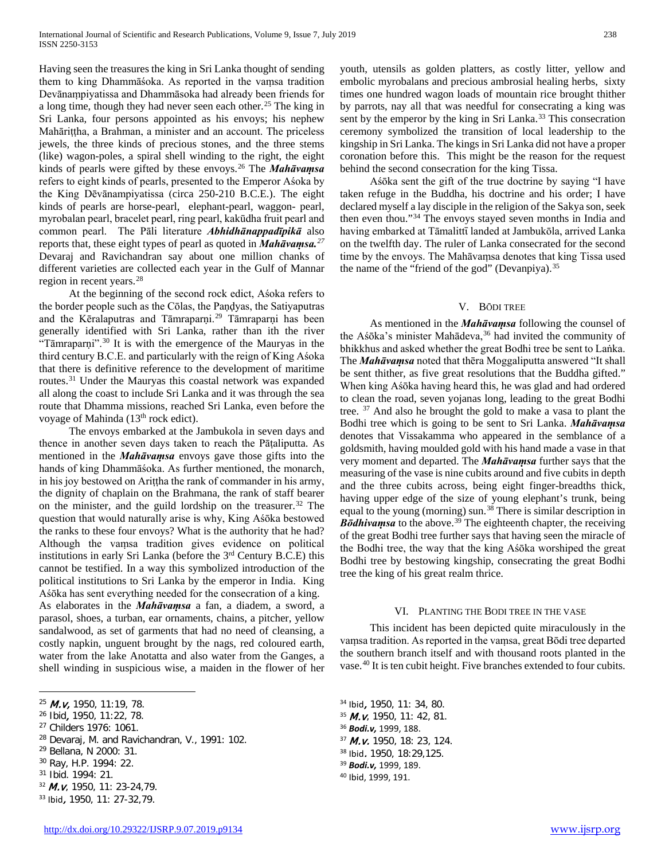Having seen the treasures the king in Sri Lanka thought of sending them to king Dhammāśoka. As reported in the vaṃsa tradition Devānaṃpiyatissa and Dhammāsoka had already been friends for a long time, though they had never seen each other.<sup>[25](#page-2-0)</sup> The king in Sri Lanka, four persons appointed as his envoys; his nephew Mahāriṭṭha, a Brahman, a minister and an account. The priceless jewels, the three kinds of precious stones, and the three stems (like) wagon-poles, a spiral shell winding to the right, the eight kinds of pearls were gifted by these envoys.[26](#page-2-1) The *Mahāvaṃsa*  refers to eight kinds of pearls, presented to the Emperor Aśoka by the King Dēvānampiyatissa (circa 250-210 B.C.E.). The eight kinds of pearls are horse-pearl, elephant-pearl, waggon- pearl, myrobalan pearl, bracelet pearl, ring pearl, kakūdha fruit pearl and common pearl. The Pāli literature *Abhidhānappadīpikā* also reports that, these eight types of pearl as quoted in *Mahāvaṃsa.[27](#page-2-2)* Devaraj and Ravichandran say about one million chanks of different varieties are collected each year in the Gulf of Mannar region in recent years.[28](#page-2-3)

 At the beginning of the second rock edict, Aśoka refers to the border people such as the Cōlas, the Paṇḍyas, the Satiyaputras and the Kēralaputras and Tāmraparṇi.<sup>[29](#page-2-4)</sup> Tāmraparṇi has been generally identified with Sri Lanka, rather than ith the river "Tāmraparni".<sup>[30](#page-2-5)</sup> It is with the emergence of the Mauryas in the third century B.C.E. and particularly with the reign of King Aśoka that there is definitive reference to the development of maritime routes.<sup>[31](#page-2-6)</sup> Under the Mauryas this coastal network was expanded all along the coast to include Sri Lanka and it was through the sea route that Dhamma missions, reached Sri Lanka, even before the voyage of Mahinda (13<sup>th</sup> rock edict).

 The envoys embarked at the Jambukola in seven days and thence in another seven days taken to reach the Pāṭaliputta. As mentioned in the *Mahāvaṃsa* envoys gave those gifts into the hands of king Dhammāśoka. As further mentioned, the monarch, in his joy bestowed on Ariṭṭha the rank of commander in his army, the dignity of chaplain on the Brahmana, the rank of staff bearer on the minister, and the guild lordship on the treasurer[.32](#page-2-7) The question that would naturally arise is why, King Aśōka bestowed the ranks to these four envoys? What is the authority that he had? Although the vaṃsa tradition gives evidence on political institutions in early Sri Lanka (before the 3rd Century B.C.E) this cannot be testified. In a way this symbolized introduction of the political institutions to Sri Lanka by the emperor in India. King Aśōka has sent everything needed for the consecration of a king. As elaborates in the *Mahāvaṃsa* a fan, a diadem, a sword, a parasol, shoes, a turban, ear ornaments, chains, a pitcher, yellow sandalwood, as set of garments that had no need of cleansing, a costly napkin, unguent brought by the nags, red coloured earth, water from the lake Anotatta and also water from the Ganges, a shell winding in suspicious wise, a maiden in the flower of her

<span id="page-2-10"></span><span id="page-2-3"></span><sup>28</sup> Devaraj, M. and Ravichandran, V., 1991: 102.

- <span id="page-2-12"></span><span id="page-2-5"></span><sup>30</sup> Ray, H.P. 1994: 22.
- <span id="page-2-13"></span><span id="page-2-6"></span><sup>31</sup> Ibid. 1994: 21.

 $\overline{a}$ 

<span id="page-2-7"></span><sup>32</sup> M.v, 1950, 11: 23-24,79.

youth, utensils as golden platters, as costly litter, yellow and embolic myrobalans and precious ambrosial healing herbs, sixty times one hundred wagon loads of mountain rice brought thither by parrots, nay all that was needful for consecrating a king was sent by the emperor by the king in Sri Lanka.<sup>[33](#page-2-8)</sup> This consecration ceremony symbolized the transition of local leadership to the kingship in Sri Lanka. The kings in Sri Lanka did not have a proper coronation before this. This might be the reason for the request behind the second consecration for the king Tissa.

 Aśōka sent the gift of the true doctrine by saying "I have taken refuge in the Buddha, his doctrine and his order; I have declared myself a lay disciple in the religion of the Sakya son, seek then even thou."[34](#page-2-0) The envoys stayed seven months in India and having embarked at Tāmalittī landed at Jambukōla, arrived Lanka on the twelfth day. The ruler of Lanka consecrated for the second time by the envoys. The Mahāvaṃsa denotes that king Tissa used the name of the "friend of the god" (Devanpiya). $35$ 

#### V. BŌDI TREE

 As mentioned in the *Mahāvaṃsa* following the counsel of the Aśōka's minister Mahādeva,<sup>[36](#page-2-9)</sup> had invited the community of bhikkhus and asked whether the great Bodhi tree be sent to Laṅka. The *Mahāvaṃsa* noted that thēra Moggaliputta answered "It shall be sent thither, as five great resolutions that the Buddha gifted." When king Aśōka having heard this, he was glad and had ordered to clean the road, seven yojanas long, leading to the great Bodhi tree. [37](#page-2-10) And also he brought the gold to make a vasa to plant the Bodhi tree which is going to be sent to Sri Lanka. *Mahāvaṃsa* denotes that Vissakamma who appeared in the semblance of a goldsmith, having moulded gold with his hand made a vase in that very moment and departed. The *Mahāvaṃsa* further says that the measuring of the vase is nine cubits around and five cubits in depth and the three cubits across, being eight finger-breadths thick, having upper edge of the size of young elephant's trunk, being equal to the young (morning) sun.<sup>[38](#page-2-11)</sup> There is similar description in  $B\bar{o}dhivamsa$  to the above.<sup>[39](#page-2-12)</sup> The eighteenth chapter, the receiving of the great Bodhi tree further says that having seen the miracle of the Bodhi tree, the way that the king Aśōka worshiped the great Bodhi tree by bestowing kingship, consecrating the great Bodhi tree the king of his great realm thrice.

#### VI. PLANTING THE BODI TREE IN THE VASE

 This incident has been depicted quite miraculously in the vaṃsa tradition. As reported in the vaṃsa, great Bōdi tree departed the southern branch itself and with thousand roots planted in the vase.[40](#page-2-13) It is ten cubit height. Five branches extended to four cubits.

 Ibid, 1950, 11: 34, 80. M.v, 1950, 11: 42, 81. *Bodi.v,* 1999, 188. *M.v.* 1950, 18: 23, 124. Ibid. 1950, 18:29,125. *Bodi.v,* 1999, 189. Ibid, 1999, 191.

<span id="page-2-0"></span><sup>25</sup> M.v, 1950, 11:19, 78.

<span id="page-2-1"></span><sup>26</sup> Ibid, 1950, 11:22, 78.

<span id="page-2-9"></span><span id="page-2-2"></span><sup>27</sup> Childers 1976: 1061.

<span id="page-2-11"></span><span id="page-2-4"></span><sup>29</sup> Bellana, N 2000: 31.

<span id="page-2-8"></span><sup>33</sup> Ibid, 1950, 11: 27-32,79.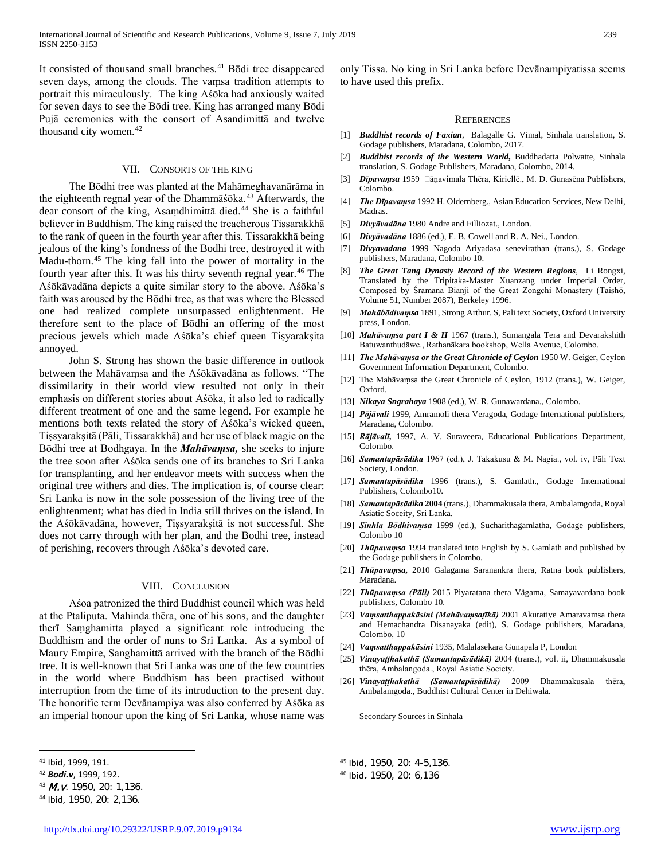It consisted of thousand small branches.<sup>[41](#page-3-0)</sup> Bōdi tree disappeared seven days, among the clouds. The vaṃsa tradition attempts to portrait this miraculously. The king Aśōka had anxiously waited for seven days to see the Bōdi tree. King has arranged many Bōdi Pujā ceremonies with the consort of Asandimittā and twelve thousand city women.<sup>[42](#page-3-1)</sup>

#### VII. CONSORTS OF THE KING

 The Bōdhi tree was planted at the Mahāmeghavanārāma in the eighteenth regnal year of the Dhammāśōka.<sup>[43](#page-3-2)</sup> Afterwards, the dear consort of the king, Asaṃdhimittā died.[44](#page-3-3) She is a faithful believer in Buddhism. The king raised the treacherous Tissarakkhā to the rank of queen in the fourth year after this. Tissarakkhā being jealous of the king's fondness of the Bodhi tree, destroyed it with Madu-thorn.<sup>[45](#page-3-0)</sup> The king fall into the power of mortality in the fourth year after this. It was his thirty seventh regnal year.<sup>[46](#page-3-1)</sup> The Aśōkāvadāna depicts a quite similar story to the above. Aśōka's faith was aroused by the Bōdhi tree, as that was where the Blessed one had realized complete unsurpassed enlightenment. He therefore sent to the place of Bōdhi an offering of the most precious jewels which made Aśōka's chief queen Tiṣyarakṣita annoyed.

 John S. Strong has shown the basic difference in outlook between the Mahāvaṃsa and the Aśōkāvadāna as follows. "The dissimilarity in their world view resulted not only in their emphasis on different stories about Aśōka, it also led to radically different treatment of one and the same legend. For example he mentions both texts related the story of Aśōka's wicked queen, Tiṣsyarakṣitā (Pāli, Tissarakkhā) and her use of black magic on the Bōdhi tree at Bodhgaya. In the *Mahāvaṃsa,* she seeks to injure the tree soon after Aśōka sends one of its branches to Sri Lanka for transplanting, and her endeavor meets with success when the original tree withers and dies. The implication is, of course clear: Sri Lanka is now in the sole possession of the living tree of the enlightenment; what has died in India still thrives on the island. In the Aśōkāvadāna, however, Tiṣsyarakṣitā is not successful. She does not carry through with her plan, and the Bodhi tree, instead of perishing, recovers through Aśōka's devoted care.

#### VIII. CONCLUSION

 Aśoa patronized the third Buddhist council which was held at the Ptaliputa. Mahinda thēra, one of his sons, and the daughter therī Saṃghamitta played a significant role introducing the Buddhism and the order of nuns to Sri Lanka. As a symbol of Maury Empire, Sanghamittā arrived with the branch of the Bōdhi tree. It is well-known that Sri Lanka was one of the few countries in the world where Buddhism has been practised without interruption from the time of its introduction to the present day. The honorific term Devānampiya was also conferred by Aśōka as an imperial honour upon the king of Sri Lanka, whose name was only Tissa. No king in Sri Lanka before Devānampiyatissa seems to have used this prefix.

#### **REFERENCES**

- [1] *Buddhist records of Faxian*, Balagalle G. Vimal, Sinhala translation, S. Godage publishers, Maradana, Colombo, 2017.
- [2] *Buddhist records of the Western World***,** Buddhadatta Polwatte, Sinhala translation, S. Godage Publishers, Maradana, Colombo, 2014.
- [3] *Dīpavamsa* 1959 □ āṇavimala Thēra, Kiriellē., M. D. Gunasēna Publishers, Colombo.
- [4] *The Dīpavaṃsa* 1992 H. Oldernberg., Asian Education Services, New Delhi, Madras.
- [5] *Divyāvadāna* 1980 Andre and Filliozat., London.
- [6] *Divyāvadāna* 1886 (ed.), E. B. Cowell and R. A. Nei., London.
- [7] *Divyavadana* 1999 Nagoda Ariyadasa senevirathan (trans.), S. Godage publishers, Maradana, Colombo 10.
- [8] *The Great Tang Dynasty Record of the Western Regions,* Li Rongxi, Translated by the Tripitaka-Master Xuanzang under Imperial Order, Composed by Śramana Bianji of the Great Zongchi Monastery (Taishō, Volume 51, Number 2087), Berkeley 1996.
- [9] *Mahābōdivaṃsa* 1891, Strong Arthur. S, Pali text Society, Oxford University press, London.
- [10] *Mahāvaṃsa part I & II* 1967 (trans.), Sumangala Tera and Devarakshith Batuwanthudāwe., Rathanākara bookshop, Wella Avenue, Colombo.
- [11] *The Mahāvaṃsa or the Great Chronicle of Ceylon* 1950 W. Geiger, Ceylon Government Information Department, Colombo.
- [12] The Mahāvaṃsa the Great Chronicle of Ceylon, 1912 (trans.), W. Geiger, Oxford.
- [13] *Nikaya Sngrahaya* 1908 (ed.), W. R. Gunawardana., Colombo.
- [14] *Pōjāvali* 1999, Amramoli thera Veragoda, Godage International publishers, Maradana, Colombo.
- [15] *Rājāvalī,* 1997, A. V. Suraveera, Educational Publications Department, Colombo.
- [16] *Samantapāsādika* 1967 (ed.), J. Takakusu & M. Nagia., vol. iv, Pāli Text Society, London.
- [17] *Samantapāsādika* 1996 (trans.), S. Gamlath., Godage International Publishers, Colombo10.
- [18] *Samantapāsādika* **2004** (trans.), Dhammakusala thera, Ambalamgoda, Royal Asiatic Soceity, Sri Lanka.
- [19] *Sinhla Bōdhivaṃsa* 1999 (ed.), Sucharithagamlatha, Godage publishers, Colombo 10
- [20] *Thūpavamsa* 1994 translated into English by S. Gamlath and published by the Godage publishers in Colombo.
- [21] *Thūpavaṃsa,* 2010 Galagama Saranankra thera, Ratna book publishers, Maradana.
- [22] *Thūpavaṃsa (Pāli)* 2015 Piyaratana thera Vägama, Samayavardana book publishers, Colombo 10.
- [23] *Vaṃsatthappakāsini (Mahāvaṃsaṭīkā)* 2001 Akuratiye Amaravamsa thera and Hemachandra Disanayaka (edit), S. Godage publishers, Maradana, Colombo, 10
- [24] *Vaṃsatthappakāsini* 1935, Malalasekara Gunapala P, London
- [25] *Vinayaṭṭhakathā (Samantapāsādikā)* 2004 (trans.), vol. ii, Dhammakusala thēra, Ambalangoda., Royal Asiatic Society.
- [26] *Vinayaṭṭhakathā (Samantapāsādikā)* 2009 Dhammakusala thēra, Ambalamgoda., Buddhist Cultural Center in Dehiwala.

Secondary Sources in Sinhala

 $\overline{a}$ 

<span id="page-3-2"></span>43 M.v. 1950, 20: 1,136.

<span id="page-3-0"></span><sup>41</sup> Ibid, 1999, 191.

<span id="page-3-1"></span><sup>42</sup> *Bodi.v*, 1999, 192.

<span id="page-3-3"></span><sup>44</sup> Ibid, 1950, 20: 2,136.